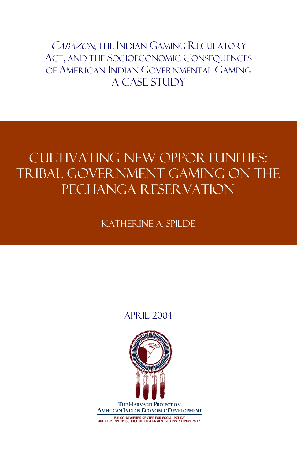CABAZON, THE INDIAN GAMING REGULATORY ACT, AND THE SOCIOECONOMIC CONSEQUENCES OF AMERICAN INDIAN GOVERNMENTAL GAMING A Case Study

# CULTIVATING NEW OPPORTUNITIES: TRIBAL GOVERNMENT GAMING ON THE Pechanga Reservation

KATHER INE A SPILDE

# April 2004

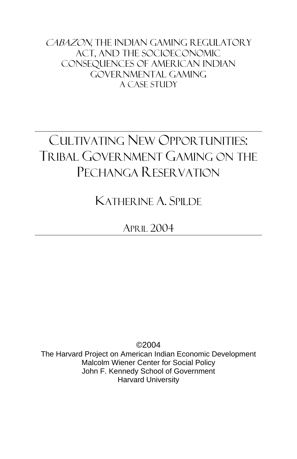CABAZON, THE INDIAN GAMING REGULATORY Act, and the Socioeconomic Consequences of American Indian Governmental Gaming A Case Study

# CULTIVATING NEW OPPORTUNITIES: TRIBAL GOVERNMENT GAMING ON THE PECHANGA RESERVATION

KATHERINE A. SPILDE

APRIL 2004

©2004 The Harvard Project on American Indian Economic Development Malcolm Wiener Center for Social Policy John F. Kennedy School of Government Harvard University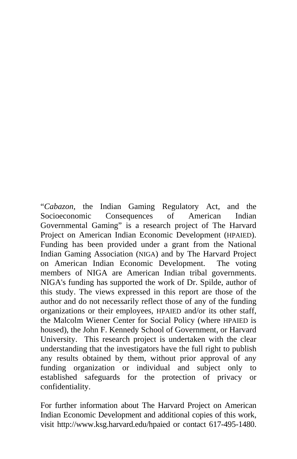"*Cabazon*, the Indian Gaming Regulatory Act, and the Socioeconomic Consequences of American Indian Governmental Gaming" is a research project of The Harvard Project on American Indian Economic Development (HPAIED). Funding has been provided under a grant from the National Indian Gaming Association (NIGA) and by The Harvard Project on American Indian Economic Development. The voting members of NIGA are American Indian tribal governments. NIGA's funding has supported the work of Dr. Spilde, author of this study. The views expressed in this report are those of the author and do not necessarily reflect those of any of the funding organizations or their employees, HPAIED and/or its other staff, the Malcolm Wiener Center for Social Policy (where HPAIED is housed), the John F. Kennedy School of Government, or Harvard University. This research project is undertaken with the clear understanding that the investigators have the full right to publish any results obtained by them, without prior approval of any funding organization or individual and subject only to established safeguards for the protection of privacy or confidentiality.

For further information about The Harvard Project on American Indian Economic Development and additional copies of this work, visit http://www.ksg.harvard.edu/hpaied or contact 617-495-1480.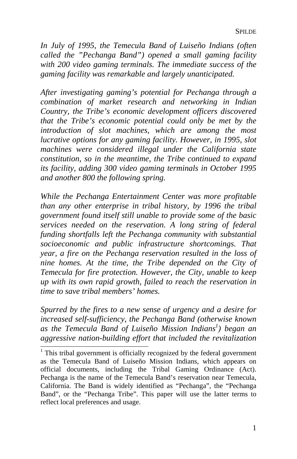*In July of 1995, the Temecula Band of Luiseño Indians (often called the "Pechanga Band") opened a small gaming facility with 200 video gaming terminals. The immediate success of the gaming facility was remarkable and largely unanticipated.* 

*After investigating gaming's potential for Pechanga through a combination of market research and networking in Indian Country, the Tribe's economic development officers discovered that the Tribe's economic potential could only be met by the introduction of slot machines, which are among the most lucrative options for any gaming facility. However, in 1995, slot machines were considered illegal under the California state constitution, so in the meantime, the Tribe continued to expand its facility, adding 300 video gaming terminals in October 1995 and another 800 the following spring.* 

*While the Pechanga Entertainment Center was more profitable than any other enterprise in tribal history, by 1996 the tribal government found itself still unable to provide some of the basic services needed on the reservation. A long string of federal funding shortfalls left the Pechanga community with substantial socioeconomic and public infrastructure shortcomings. That year, a fire on the Pechanga reservation resulted in the loss of nine homes. At the time, the Tribe depended on the City of Temecula for fire protection. However, the City, unable to keep up with its own rapid growth, failed to reach the reservation in time to save tribal members' homes.* 

*Spurred by the fires to a new sense of urgency and a desire for increased self-sufficiency, the Pechanga Band (otherwise known as the Temecula Band of Luiseño Mission Indians1 ) began an aggressive nation-building effort that included the revitalization* 

 $1$ <sup>1</sup> This tribal government is officially recognized by the federal government as the Temecula Band of Luiseño Mission Indians, which appears on official documents, including the Tribal Gaming Ordinance (Act). Pechanga is the name of the Temecula Band's reservation near Temecula, California. The Band is widely identified as "Pechanga", the "Pechanga Band", or the "Pechanga Tribe". This paper will use the latter terms to reflect local preferences and usage.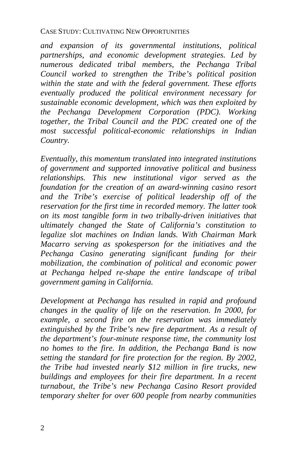*and expansion of its governmental institutions, political partnerships, and economic development strategies. Led by numerous dedicated tribal members, the Pechanga Tribal Council worked to strengthen the Tribe's political position within the state and with the federal government. These efforts eventually produced the political environment necessary for sustainable economic development, which was then exploited by the Pechanga Development Corporation (PDC). Working together, the Tribal Council and the PDC created one of the most successful political-economic relationships in Indian Country.* 

*Eventually, this momentum translated into integrated institutions of government and supported innovative political and business relationships. This new institutional vigor served as the foundation for the creation of an award-winning casino resort and the Tribe's exercise of political leadership off of the reservation for the first time in recorded memory. The latter took on its most tangible form in two tribally-driven initiatives that ultimately changed the State of California's constitution to legalize slot machines on Indian lands. With Chairman Mark Macarro serving as spokesperson for the initiatives and the Pechanga Casino generating significant funding for their mobilization, the combination of political and economic power at Pechanga helped re-shape the entire landscape of tribal government gaming in California.* 

*Development at Pechanga has resulted in rapid and profound changes in the quality of life on the reservation. In 2000, for example, a second fire on the reservation was immediately extinguished by the Tribe's new fire department. As a result of the department's four-minute response time, the community lost no homes to the fire. In addition, the Pechanga Band is now setting the standard for fire protection for the region. By 2002, the Tribe had invested nearly \$12 million in fire trucks, new buildings and employees for their fire department. In a recent turnabout, the Tribe's new Pechanga Casino Resort provided temporary shelter for over 600 people from nearby communities*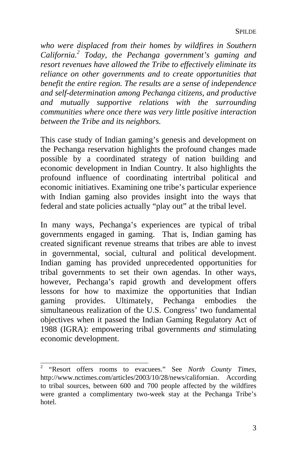*who were displaced from their homes by wildfires in Southern California.2 Today, the Pechanga government's gaming and resort revenues have allowed the Tribe to effectively eliminate its reliance on other governments and to create opportunities that benefit the entire region. The results are a sense of independence and self-determination among Pechanga citizens, and productive and mutually supportive relations with the surrounding communities where once there was very little positive interaction between the Tribe and its neighbors.* 

This case study of Indian gaming's genesis and development on the Pechanga reservation highlights the profound changes made possible by a coordinated strategy of nation building and economic development in Indian Country. It also highlights the profound influence of coordinating intertribal political and economic initiatives. Examining one tribe's particular experience with Indian gaming also provides insight into the ways that federal and state policies actually "play out" at the tribal level.

In many ways, Pechanga's experiences are typical of tribal governments engaged in gaming. That is, Indian gaming has created significant revenue streams that tribes are able to invest in governmental, social, cultural and political development. Indian gaming has provided unprecedented opportunities for tribal governments to set their own agendas. In other ways, however, Pechanga's rapid growth and development offers lessons for how to maximize the opportunities that Indian gaming provides. Ultimately, Pechanga embodies the simultaneous realization of the U.S. Congress' two fundamental objectives when it passed the Indian Gaming Regulatory Act of 1988 (IGRA): empowering tribal governments *and* stimulating economic development.

 2 "Resort offers rooms to evacuees." See *North County Times*, http://www.nctimes.com/articles/2003/10/28/news/californian. According to tribal sources, between 600 and 700 people affected by the wildfires were granted a complimentary two-week stay at the Pechanga Tribe's hotel.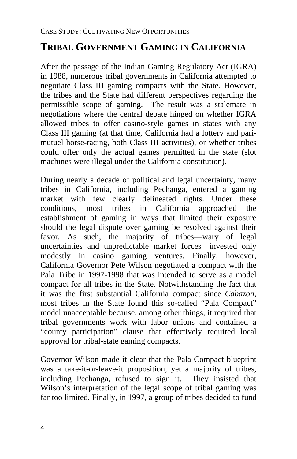# **TRIBAL GOVERNMENT GAMING IN CALIFORNIA**

After the passage of the Indian Gaming Regulatory Act (IGRA) in 1988, numerous tribal governments in California attempted to negotiate Class III gaming compacts with the State. However, the tribes and the State had different perspectives regarding the permissible scope of gaming. The result was a stalemate in negotiations where the central debate hinged on whether IGRA allowed tribes to offer casino-style games in states with any Class III gaming (at that time, California had a lottery and parimutuel horse-racing, both Class III activities), or whether tribes could offer only the actual games permitted in the state (slot machines were illegal under the California constitution).

During nearly a decade of political and legal uncertainty, many tribes in California, including Pechanga, entered a gaming market with few clearly delineated rights. Under these conditions, most tribes in California approached the establishment of gaming in ways that limited their exposure should the legal dispute over gaming be resolved against their favor. As such, the majority of tribes—wary of legal uncertainties and unpredictable market forces—invested only modestly in casino gaming ventures. Finally, however, California Governor Pete Wilson negotiated a compact with the Pala Tribe in 1997-1998 that was intended to serve as a model compact for all tribes in the State. Notwithstanding the fact that it was the first substantial California compact since *Cabazon*, most tribes in the State found this so-called "Pala Compact" model unacceptable because, among other things, it required that tribal governments work with labor unions and contained a "county participation" clause that effectively required local approval for tribal-state gaming compacts.

Governor Wilson made it clear that the Pala Compact blueprint was a take-it-or-leave-it proposition, yet a majority of tribes, including Pechanga, refused to sign it. They insisted that Wilson's interpretation of the legal scope of tribal gaming was far too limited. Finally, in 1997, a group of tribes decided to fund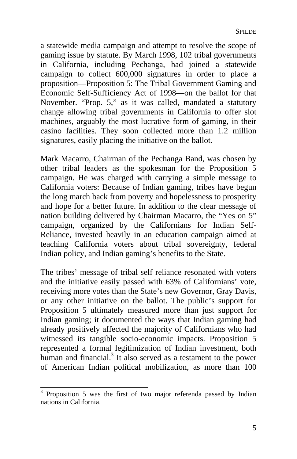a statewide media campaign and attempt to resolve the scope of gaming issue by statute. By March 1998, 102 tribal governments in California, including Pechanga, had joined a statewide campaign to collect 600,000 signatures in order to place a proposition—Proposition 5: The Tribal Government Gaming and Economic Self-Sufficiency Act of 1998—on the ballot for that November. "Prop. 5," as it was called, mandated a statutory change allowing tribal governments in California to offer slot machines, arguably the most lucrative form of gaming, in their casino facilities. They soon collected more than 1.2 million signatures, easily placing the initiative on the ballot.

Mark Macarro, Chairman of the Pechanga Band, was chosen by other tribal leaders as the spokesman for the Proposition 5 campaign. He was charged with carrying a simple message to California voters: Because of Indian gaming, tribes have begun the long march back from poverty and hopelessness to prosperity and hope for a better future. In addition to the clear message of nation building delivered by Chairman Macarro, the "Yes on 5" campaign, organized by the Californiansfor Indian Self-Reliance, invested heavily in an education campaign aimed at teaching California voters about tribal sovereignty, federal Indian policy, and Indian gaming's benefits to the State.

The tribes' message of tribal self reliance resonated with voters and the initiative easily passed with 63% of Californians' vote, receiving more votes than the State's new Governor, Gray Davis, or any other initiative on the ballot. The public's support for Proposition 5 ultimately measured more than just support for Indian gaming; it documented the ways that Indian gaming had already positively affected the majority of Californians who had witnessed its tangible socio-economic impacts. Proposition 5 represented a formal legitimization of Indian investment, both human and financial. $3$  It also served as a testament to the power of American Indian political mobilization, as more than 100

 $\overline{a}$ 

<span id="page-8-0"></span><sup>3</sup> Proposition 5 was the first of two major referenda passed by Indian nations in California.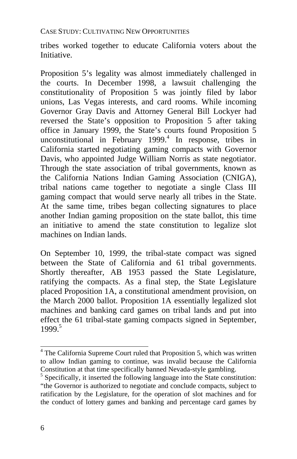tribes worked together to educate California voters about the Initiative.

Proposition 5's legality was almost immediately challenged in the courts. In December 1998, a lawsuit challenging the constitutionality of Proposition 5 was jointly filed by labor unions, Las Vegas interests, and card rooms. While incoming Governor Gray Davis and Attorney General Bill Lockyer had reversed the State's opposition to Proposition 5 after taking office in January 1999, the State's courts found Proposition 5 unconstitutional in February 1999. $4$  In response, tribes in California started negotiating gaming compacts with Governor Davis, who appointed Judge William Norris as state negotiator. Through the state association of tribal governments, known as the California Nations Indian Gaming Association (CNIGA), tribal nations came together to negotiate a single Class III gaming compact that would [se](#page-9-0)rve nearly all tribes in the State. At the same time, tribes began collecting signatures to place another Indian gaming proposition on the state ballot, this time an initiative to amend the state constitution to legalize slot machines on Indian lands.

On September 10, 1999, the tribal-state compact was signed between the State of California and 61 tribal governments. Shortly thereafter, AB 1953 passed the State Legislature, ratifying the compacts. As a final step, the State Legislature placed Proposition 1A, a constitutional amendment provision, on the March 2000 ballot. Proposition 1A essentially legalized slot machines and banking card games on tribal lands and put into effect the 61 tribal-state gaming compacts signed in September, 1999. 5

<sup>&</sup>lt;sup>4</sup> The California Supreme Court ruled that Proposition 5, which was written to allow Indian gaming to continue, was invalid because the California Constitution at that time specifically banned Nevada-style gambling.

<span id="page-9-0"></span> $5$  Specifically, it inserted the following language into the State constitution: "the Governor is authorized to negotiate and conclude compacts, subject to ratification by the Legislature, for the operation of slot machines and for the conduct of lottery games and banking and percentage card games by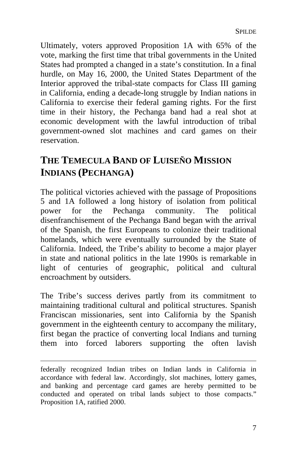Ultimately, voters approved Proposition 1A with 65% of the vote, marking the first time that tribal governments in the United States had prompted a changed in a state's constitution. In a final hurdle, on May 16, 2000, the United States Department of the Interior approved the tribal-state compacts for Class III gaming in California, ending a decade-long struggle by Indian nations in California to exercise their federal gaming rights. For the first time in their history, the Pechanga band had a real shot at economic development with the lawful introduction of tribal government-owned slot machines and card games on their reservation.

# **THE TEMECULA BAND OF LUISEÑO MISSION INDIANS (PECHANGA)**

The political victories achieved with the passage of Propositions 5 and 1A followed a long history of isolation from political power for the Pechanga community. The political disenfranchisement of the Pechanga Band began with the arrival of the Spanish, the first Europeans to colonize their traditional homelands, which were eventually surrounded by the State of California. Indeed, the Tribe's ability to become a major player in state and national politics in the late 1990s is remarkable in light of centuries of geographic, political and cultural encroachment by outsiders.

The Tribe's success derives partly from its commitment to maintaining traditional cultural and political structures. Spanish Franciscan missionaries, sent into California by the Spanish government in the eighteenth century to accompany the military, first began the practice of converting local Indians and turning them into forced laborers supporting the often lavish

 $\overline{a}$ 

federally recognized Indian tribes on Indian lands in California in accordance with federal law. Accordingly, slot machines, lottery games, and banking and percentage card games are hereby permitted to be conducted and operated on tribal lands subject to those compacts." Proposition 1A, ratified 2000.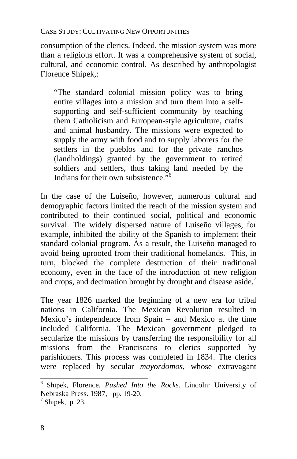consumption of the clerics. Indeed, the mission system was m[ore](#page-11-0) than a religious effort. It was a comprehensive system of social, cultural, and economic control. As described by anthropologist Florence Shipek,:

"The standard colonial mission policy was to bring entire villages into a mission and turn them into a selfsupporting and self-sufficient community by teaching them Catholicism and European-style agriculture, crafts and animal husbandry. The missions were expected to supply the army with food and to supply laborers for the settlers in the pueblos and for the private ranchos (landholdings) granted by the government to retired soldiers and settlers, thus taking land needed by the Indians for their own subsistence."<sup>6</sup>

In the case of the Luiseño, however, numerous cultural and demographic factors limited the reach of the mission system and contributed to their continued social, political and economic survival. The widely dispersed nature of Luiseño villages, for example, inhibited the ability of the Spanish to implement their standard colonial program. As a result, the Luiseño managed to avoid being uprooted from their traditional homelands. This, in turn, blocked the complete destruction of their traditional economy, even in the face of the introduction of new religion and crops, and decimation brought by drought and disease aside.<sup>7</sup>

The year 1826 marked the beginning of a new era for tribal nations in California. The Mexican Revolution resulted in Mexico's independence from Spain – and Mexico at the time included California. The Mexican government pledged to secularize the missions by transferring the responsibility for all missions from the Franciscans to clerics supported by parishioners. This process was completed in 1834. The clerics were replaced by secular *mayordomos*, whose extravagant

<span id="page-11-0"></span> 6 Shipek, Florence. *Pushed Into the Rocks.* Lincoln: University of Nebraska Press. 1987, pp. 19-20. 7

 $<sup>7</sup>$  Shipek, p. 23.</sup>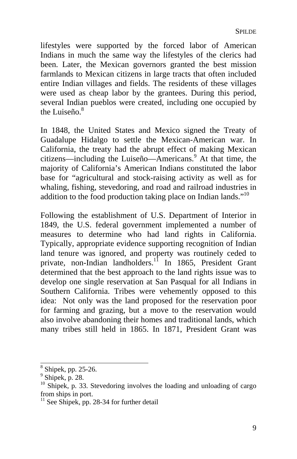lifestyles were supported by the forced labor of American Indians in much the same way the lifestyles of the clerics had been. Later, the Mexican governors granted the best mission farmlands to Mexican citizens in large tracts that often included entire Indian villages and fields. The residents of these villages were used as cheap labor by the grantees. During this period, several Indian pueblos were created, including one occupied by the Luiseño. $8<sup>8</sup>$ 

In 1848, the United States and Mexico signed the Tr[eaty](#page-12-0) of Guadalupe Hidalgo to settle the Mexican-American war. In California, the treaty had the abrupt effect of making Mexican citizens—including the Luiseño—Americans.<sup>9</sup> At that time, the majority of California's American Indians constituted the labor base for "agricultural and stock-raising activity as well as for whaling, fishing, stevedoring, and road and railroad industries in addition to the food production taking place on Indian lands."10

Following the establishment of U.S. Department of Interior in 1849, the U.S. federal government implemented a number of measures to determine who had land rights in California. Typically, appropriate evidence supporting recognition of Indian land tenure was ignored, and property was routinely ceded to private, non-Indian landholders.<sup>11</sup> In 1865, President Grant determined that the best approach to the land rights issue was to develop one single reservation at San Pasqual for all Indians in Southern California. Tribes were vehemently opposed to this idea: Not only was the land proposed for the reservation poor for farming and grazing, but a move to the reservation would also involve abandoning their homes and traditional lands, which many tribes still held in 1865. In 1871, President Grant was

 $8$  Shipek, pp. 25-26.

<sup>9</sup> Shipek, p. 28.

 $10$  Shipek, p. 33. Stevedoring involves the loading and unloading of cargo from ships in port.

<span id="page-12-0"></span> $\frac{11}{11}$  See Shipek, pp. 28-34 for further detail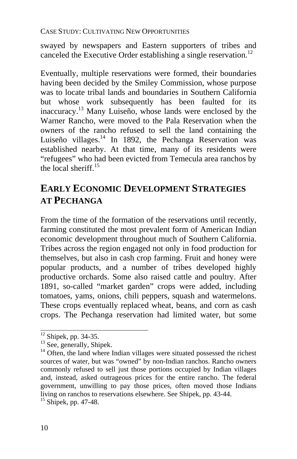swayed by newspapers and Eastern supporters of tribes and canceled the Executive Order establishing a single reservation.<sup>12</sup>

Eventually, multiple reservations were formed, their boundaries having been decided by the Smiley Commission, whose purpose was to locate tribal lands and boundaries in Southern California but whose work subsequently has been faulted for its inaccuracy. 13 Many Luiseño, whose lands were enclosed by the Warner Rancho, were moved to the Pala Reservation when the owners of the rancho refused to sell the land containing the Luiseño villages.<sup>14</sup> In 1892, the Pechanga Reservation was established nearby. At that time, many of its residents were "refugees" who had been evicted from Temecula area ranchos by the local sheriff.15

# **EARLY ECONOMIC DEVELOPMENT STRATEGIES AT PECHANGA**

From the time of the formation of the reservations until recently, farming constituted the most prevalent form of American Indian economic development throughout much of Southern California. Tribes across the region engaged not only in food production for themselves, but also in cash crop farming. Fruit and honey were popular products, and a number of tribes developed highly productive orchards. Some also raised cattle and poultry. After 1891, so-called "market garden" crops were added, including tomatoes, yams, onions, chili peppers, squash and watermelons. These crops eventually replaced wheat, beans, and corn as cash crops. The Pechanga reservation had limited water, but some

 $12$  Shipek, pp. 34-35.

 $\frac{13}{13}$  See, generally, Shipek.<br><sup>14</sup> Often, the land where Indian villages were situated possessed the richest sources of water, but was "owned" by non-Indian ranchos. Rancho owners commonly refused to sell just those portions occupied by Indian villages and, instead, asked outrageous prices for the entire rancho. The federal government, unwilling to pay those prices, often moved those Indians living on ranchos to reservations elsewhere. See Shipek, pp. 43-44. 15 Shipek, pp. 47-48.

<span id="page-13-0"></span>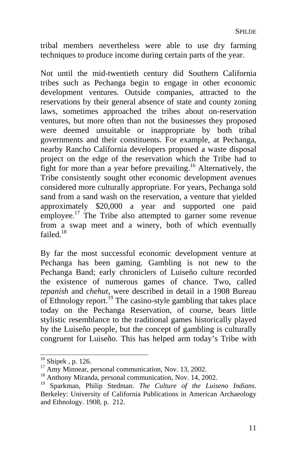tribal members nevertheless were able to use dry farming techniques to produce income during certain parts of the year.

Not until the mid-twentieth century did Southern California tribes such as Pechanga begin t[o](#page-14-0) engage in other economic development ventures. Outside companies, attracted to the reservations by their general a[bs](#page-14-1)ence of state and county zoning laws, sometimes approached the tribes about on-reservation ventures, but more often than not the businesses they proposed were deemed unsuitable or inappropriate by both tribal governments and their constituents. For example, at Pechanga, nearby Rancho California developers proposed a waste disposal project on the edge of the reservation which the Tribe had to fight for more than a year before prevailing[.16](#page-14-2) Alternatively, the Tribe consistently sought other economic development avenues considered more culturally appropriate. For years, Pechanga sold sand from a sand wash on the reservation, a venture that yielded approximately \$20,000 a year and supported one paid employee.<sup>17</sup> The Tribe also attempted to garner some revenue from a swap meet and a winery, both of which eventually failed  $^{18}$ 

By far the most successful economic development venture at Pechanga has been gaming. Gambling is not new to the Pechanga Band; early chroniclers of Luiseño culture recorded the existence of numerous games of chance. Two, called *tepanish* and *chehut*, were described in detail in a 1908 Bureau of Ethnology report.<sup>19</sup> The casino-style gambling that takes place today on the Pechanga Reservation, of course, bears little stylistic resemblance to the traditional games historically played by the Luiseño people, but the concept of gambling is culturally congruent for Luiseño. This has helped arm today's Tribe with

 $16$  Shipek, p. 126.

<span id="page-14-0"></span>

<span id="page-14-2"></span><span id="page-14-1"></span>

<sup>&</sup>lt;sup>17</sup> Amy Minnear, personal communication, Nov. 13, 2002.<br><sup>18</sup> Anthony Miranda, personal communication, Nov. 14, 2002.<br><sup>19</sup> Sparkman, Philip Stedman. *The Culture of the Luiseno Indians*. Berkeley: University of California Publications in American Archaeology and Ethnology. 1908, p. 212.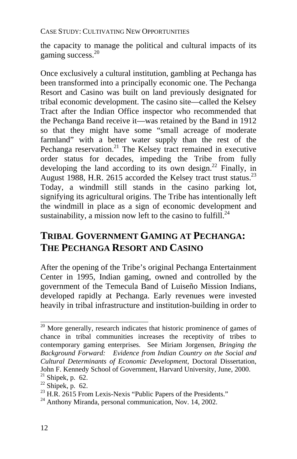the capacity to manage the political and cultural impacts of its gaming success.<sup>20</sup>

Once exclusively a cultural institution, gambling at Pechanga has been transformed into a principally economic one. The Pechanga Resort and Casino was built on land previously designated for tribal economic development. The casino site—called the Kelsey Tract after the Indian Office inspector who recommended that the Pechanga Band receive it—was retained by the Band in 1912 so that they might have some "small acreage of moderate farmland" with a better water supply than the rest of the Pechanga reservation.<sup>21</sup> The Kelsey tract remained in executive order status for decades, impeding the Tribe from fully developing the land according to its own design.<sup>22</sup> Finally, in August 1988, H.R. 2615 accorded the Kelsey tract trust status.<sup>23</sup> Today, a windmill still stands in the casino parking lot, signifying its agricultural origins. The Tribe has intentionally left the windmill in place as a sign of economic development and sustainability, a mission now left to the casino to fulfill.<sup>24</sup>

# **TRIBAL GOVERNMENT GAMING AT PECHANGA: THE PECHANGA RESORT AND CASINO**

After the opening of the Tribe's original Pechanga Entertainment Center in 1995, Indian gaming, owned and controlled by the government of the Temecula Band of Luiseño Mission Indians, developed rapidly at Pechanga. Early revenues were invested heavily in tribal infrastructure and institution-building in order to

 $\frac{20}{20}$  More generally, research indicates that historic prominence of games of chance in tribal communities increases the receptivity of tribes to contemporary gaming enterprises. See Miriam Jorgensen, *Bringing the Background Forward: Evidence from Indian Country on the Social and Cultural Determinants of Economic Development*, Doctoral Dissertation,

<sup>&</sup>lt;sup>21</sup> Shipek, p. 62.<br>
<sup>22</sup> Shipek, p. 62.<br>
<sup>22</sup> Shipek, p. 62.<br>
<sup>23</sup> H.R. 2615 From Lexis-Nexis "Public Papers of the Presidents."<br>
<sup>24</sup> Anthony Miranda, personal communication, Nov. 14, 2002.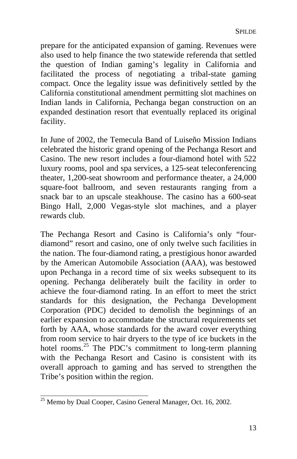prepare for the anticipated expansion of gaming. Revenues were also used to help finance the two statewide referenda that settled the question of Indian gaming's legality in California and facilitated the process of negotiating a tribal-state gaming compact. Once the legality issue was definitively settled by the California constitutional amendment permitting slot machines on Indian lands in California, Pechanga began construction on an expanded destination resort that eventually replaced its original facility.

In June of 2002, the Temecula Band of Luiseño Mission Indians celebrated the historic grand opening of the Pechanga Resort and Casino. The new resort includes a four-diamond hotel with 522 luxury rooms, pool and spa services, a 125-seat teleconferencing theater, 1,200-seat showroom and performance theater, a 24,000 square-foot ballroom, and seven restaurants ranging from a snack bar to an upscale steakhouse. The casino has a 600-seat Bingo Hall, 2,000 Vegas-style slo[t](#page-16-0) machines, and a player rewards club.

The Pechanga Resort and Casino is California's only "fourdiamond" resort and casino, one of only twelve such facilities in the nation. The four-diamond rating, a prestigious honor awarded by the American Automobile Association (AAA), was bestowed upon Pechanga in a record time of six weeks subsequent to its opening. Pechanga deliberately built the facility in order to achieve the four-diamond rating. In an effort to meet the strict standards for this designation, the Pechanga Development Corporation (PDC) decided to demolish the beginnings of an earlier expansion to accommodate the structural requirements set forth by AAA, whose standards for the award cover everything from room service to hair dryers to the type of ice buckets in the hotel rooms.<sup>25</sup> The PDC's commitment to long-term planning with the Pechanga Resort and Casino is consistent with its overall approach to gaming and has served to strengthen the Tribe's position within the region.

<span id="page-16-0"></span> $\frac{25}{25}$  Memo by Dual Cooper, Casino General Manager, Oct. 16, 2002.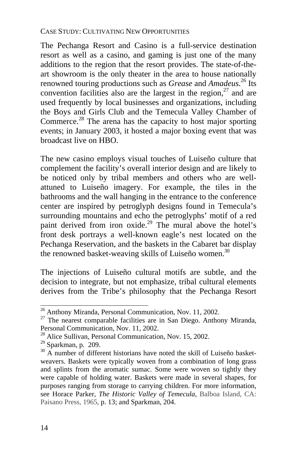The Pechanga Resort and Casino is a full-service destination resort as well as a casino, and gaming is just one of the many additions to the region that the resort provides. The state-of-theart showroom is the only theater in the area to house nationally renowned touring productions such as *Grease* and *Amadeus*. 26 Its convention facilities also are the largest in the region, $27$  and are used frequently by local businesses and organizations, including the Boys and Girls Club and the Temecula Valley Chamber of Commerce.<sup>28</sup> The arena has the capacity to host major sporting events; in January 2003, it hosted a major boxing event that was broadcast live on HBO.

The new casino employs visual touches of Luiseño culture that complement the facility's overall interior design and are likely to be noticed only by tribal members and others who are wellattuned to Luiseño imagery. For example, the tiles in the bathrooms and the wall hanging in the entrance to the conference center are inspired by petroglyph designs found in Temecula's surrounding mountains and echo the petroglyphs' motif of a red paint derived from iron oxide.<sup>29</sup> The mural above the hotel's front desk portrays a well-known eagle's nest located on the Pechanga Reservation, and the baskets in the Cabaret bar display the renowned basket-weaving skills of Luiseño women.<sup>30</sup>

The injections of Luiseño cultural motifs are subtle, and the decision to integrate, but not emphasize, tribal cultural elements derives from the Tribe's philosophy that the Pechanga Resort

<sup>&</sup>lt;sup>26</sup> Anthony Miranda, Personal Communication, Nov. 11, 2002.

 $27$  The nearest comparable facilities are in San Diego. Anthony Miranda, Personal Communication, Nov. 11, 2002.<br><sup>28</sup> Alice Sullivan, Personal Communication, Nov. 15, 2002.<br><sup>29</sup> Sparkman, p. 209.<br><sup>30</sup> A number of different historians have noted the skill of Luiseño basket-

<span id="page-17-0"></span>

weavers. Baskets were typically woven from a combination of long grass and splints from the aromatic sumac. Some were woven so tightly they were capable of holding water. Baskets were made in several shapes, for purposes ranging from storage to carrying children. For more information, see Horace Parker, *The Historic Valley of Temecula*, Balboa Island, CA: Paisano Press, 1965, p. 13; and Sparkman, 204.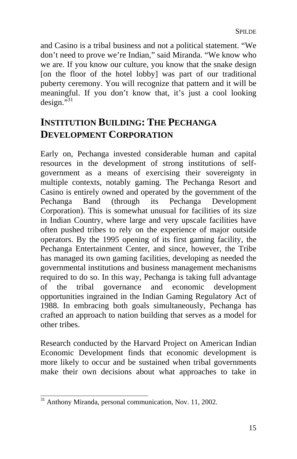and Casino is a tribal business and not a political statement. "We don't need to prove we're Indian," said Miranda. "We know who we are. If you know our culture, you know that the snake design [on the floor of the hotel lobby] was part of our traditional puberty ceremony. You will recognize that pattern and it will be meaningful. If you don't know that, it's just a cool looking  $design.^{531}$ 

# **INSTITUTION BUILDING: THE PECHANGA DEVELOPMENT CORPORATION**

Early on, Pechanga invested considerable human and capital resources in the development of strong institutions of selfgovernment as a means of exercising their sovereignty in multiple contexts, notably gaming. The Pechanga Resort and Casino is entirely owned and operated by the government of the Pechanga Band (through its Pechanga Development Corporation). This is somewhat unusual for facilities of its size in Indian Country, where large and very upscale facilities have often pushed tribes to rely on the experience of major outside operators. By the 1995 opening of its first gaming facility, the Pechanga Entertainment Center, and since, however, the Tribe has managed its own gaming facilities, developing as needed the governmental institutions and business management mechanisms required to do so. In this way, Pechanga is taking full advantage of the tribal governance and economic development opportunities ingrained in the Indian Gaming Regulatory Act of 1988. In embracing both goals simultaneously, Pechanga has crafted an approach to nation building that serves as a model for other tribes.

Research conducted by the Harvard Project on American Indian Economic Development finds that economic development is more likely to occur and be sustained when tribal governments make their own decisions about what approaches to take in

<sup>&</sup>lt;sup>31</sup> Anthony Miranda, personal communication, Nov. 11, 2002.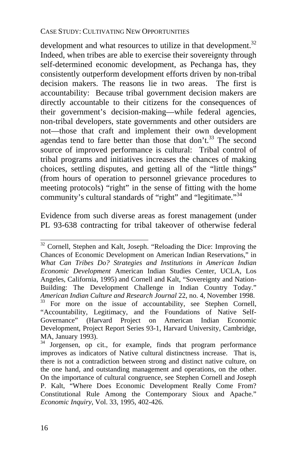development and what resources to utilize in that development.<sup>32</sup> Indeed, when tribes are able to exercise their sovereignty through self-determined economic development, as Pechanga has, they consistently outperform development efforts driven by non-tribal decision makers. The reasons lie in two areas. The first is accountability: Because tribal government decision makers are directly accountable to their citizens for the consequences of their government's decision-making—while federal agencies, non-tribal developers, state governments and other outsiders are not—those that craft and implement their own development agendas tend to fare better than those that don't.<sup>33</sup> The second source of improved performance is cultural: Tribal control of tribal programs and initiatives increases the chances of making choices, settling disputes, and getting all of the "little things" (from hours of operation to personnel grievance procedures to meeting protocols) "right" in the sense of fitting with the home community's cultural standards of "right" and "legitimate."<sup>34</sup>

Evidence from such diverse areas as forest management (under PL 93-638 contracting for tribal takeover of otherwise federal

 $32$  Cornell, Stephen and Kalt, Joseph. "Reloading the Dice: Improving the Chances of Economic Development on American Indian Reservations," in *What Can Tribes Do? Strategies and Institutions in American Indian Economic Development* American Indian Studies Center, UCLA, Los Angeles, California, 1995) and Cornell and Kalt, "Sovereignty and Nation-Building: The Development Challenge in Indian Country Today."<br>American Indian Culture and Research Journal 22, no. 4, November 1998. <sup>33</sup> For more on the issue of accountability, see Stephen Cornell, "Accountability, Legitimacy, and the Foundations of Native Self-Governance" (Harvard Project on American Indian Economic Development, Project Report Series 93-1, Harvard University, Cambridge,

MA, January 1993).<br><sup>34</sup> Jorgensen, op cit., for example, finds that program performance improves as indicators of Native cultural distinctness increase. That is, there is not a contradiction between strong and distinct native culture, on the one hand, and outstanding management and operations, on the other. On the importance of cultural congruence, see Stephen Cornell and Joseph P. Kalt, "Where Does Economic Development Really Come From? Constitutional Rule Among the Contemporary Sioux and Apache." *Economic Inquiry*, Vol. 33, 1995, 402-426.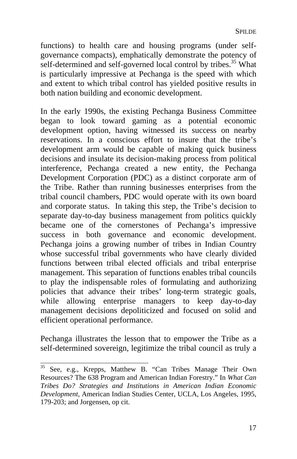functions) to health care and housing programs (under selfgovernance compacts), emphatically demonstrate the potency of self-determined and self-governed local control by tribes.<sup>35</sup> What is particularly impressive at Pechanga is the speed with which and extent to which tribal control has yielded positive results in both nation building and economic development.

In the early 1990s, the existing Pechanga Business Committee began to look toward gaming as a potential economic development option, having witnessed its success on nearby reservations. In a conscious effort to insure that the tribe's development arm would be capable of making quick business decisions and insulate its decision-making process from political interference, Pechanga created a new entity, the Pechanga Development Corporation (PDC) as a distinct corporate arm of the Tribe. Rather than running businesses enterprises from the tribal council chambers, PDC would operate with its own board and corporate status. In taking this step, the Tribe's decision to separate day-to-day business management from politics quickly became one of the cornerstones of Pechanga's impressive success in both governance and economic development. Pechanga joins a growing number of tribes in Indian Country whose successful tribal governments who have clearly divided functions between tribal elected officials and tribal enterprise management. This separation of functions enables tribal councils to play the indispensable roles of formulating and authorizing policies that advance their tribes' long-term strategic goals, while allowing enterprise managers to keep day-to-day management decisions depoliticized and focused on solid and efficient operational performance.

Pechanga illustrates the lesson that to empower the Tribe as a self-determined sovereign, legitimize the tribal council as truly a

 $\overline{a}$ 

<sup>35</sup> See, e.g., Krepps, Matthew B. "Can Tribes Manage Their Own Resources? The 638 Program and American Indian Forestry." In *What Can Tribes Do? Strategies and Institutions in American Indian Economic Development*, American Indian Studies Center, UCLA, Los Angeles, 1995, 179-203; and Jorgensen, op cit.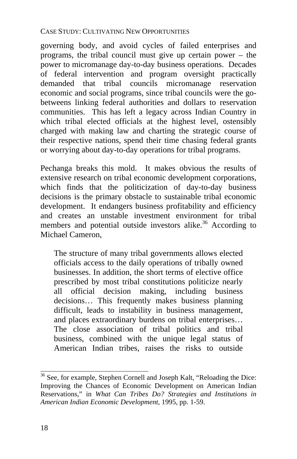governing body, and avoid cycles of failed enterprises and programs, the tribal council must give up certain power – the power to micromanage day-to-day business operations. Decades of federal intervention and program oversight practically demanded that tribal councils micromanage reservation economic and social programs, since tribal councils were the gobetweens linking federal authorities and dollars to reservation communities. This has left a legacy across Indian Country in which tribal elected officials at the highest level, ostensibly charged with making law and charting the strategic course of their respective nations, spend their time chasing federal grants or worrying about day-to-day operations for tribal programs.

Pechanga breaks this mold. It makes obvious the results of extensive research on tribal economic development corporations, which finds that the politicization of day-to-day business decisions is the primary obstacle to sustainable tribal economic development. It endangers business profitability and efficiency and creates an unstable investment environment for tribal members and potential outside investors alike.<sup>36</sup> According to Michael Cameron.

The structure of many tribal governments allows elected officials access to the daily operations of tribally owned businesses. In addition, the short terms of elective office prescribed by most tribal constitutions politicize nearly all official decision making, including business decisions… This frequently makes business planning difficult, leads to instability in business management, and places extraordinary burdens on tribal enterprises… The close association of tribal politics and tribal business, combined with the unique legal status of American Indian tribes, raises the risks to outside

<sup>&</sup>lt;sup>36</sup> See, for example, Stephen Cornell and Joseph Kalt, "Reloading the Dice: Improving the Chances of Economic Development on American Indian Reservations," in *What Can Tribes Do? Strategies and Institutions in American Indian Economic Development*, 1995, pp. 1-59.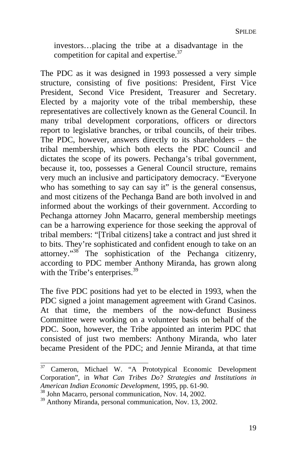investors…placing the tribe at a disadvantage in the competition for capital and expertise.<sup>37</sup>

The PDC as it was designed in 1993 possessed a very simple structure, consisting of five positions: President, First Vice President, Second Vice President, Treasurer and Secretary. Elected by a majority vote of the tribal membership, these representatives are collectively known as the General Council. In many tribal development corpo[rat](#page-22-0)ions, officers or directors report to legislative branches, or tribal councils, of their tribes. The PDC, however, answers directly to its share[hol](#page-22-1)ders – the tribal membership, which both elects the PDC Council and dictates the scope of its powers. Pechanga's tribal government, because it, too, possesses a General Council structure, remains very much an inclusive and participatory democracy. "Everyone who has something to say can say it" is the general consensus, and most citizens of the Pechanga Band are both involved in and informed about the workings of their government. According to Pechanga attorney John Macarro, general membership meetings can be a harrowing experience for those seeking the approval of tribal members: "[Tribal citizens] take a contract and just shred it to bits. They're sophisticated and confident enough to take on an attorney."<sup>38</sup> The sophistication of the Pechanga citizenry, according to PDC member Anthony Miranda, has grown along with the Tribe's enterprises. $39$ 

The five PDC positions had yet to be elected in 1993, when the PDC signed a joint management agreement with Grand Casinos. At that time, the members of the now-defunct Business Committee were working on a volunteer basis on behalf of the PDC. Soon, however, the Tribe appointed an interim PDC that consisted of just two members: Anthony Miranda, who later became President of the PDC; and Jennie Miranda, at that time

<sup>37</sup> 37 Cameron, Michael W. "A Prototypical Economic Development Corporation", in *What Can Tribes Do? Strategies and Institutions in*

<span id="page-22-0"></span><sup>&</sup>lt;sup>38</sup> John Macarro, personal communication, Nov. 14, 2002.<br><sup>39</sup> Anthony Miranda, personal communication, Nov. 13, 2002.

<span id="page-22-1"></span>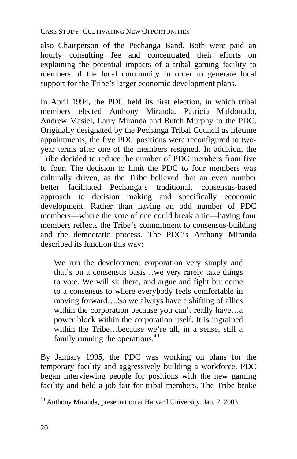also Chairperson of the Pechanga Band. Both were paid an hourly consulting fee and concentrated their efforts on explaining the potential impacts of a tribal gaming facility to members of the local community in order to generate local support for the Tribe's larger economic development plans.

In April 1994, the PDC held its first election, in which tribal members elected Anthony Miranda, Patricia Maldonado, Andrew Masiel, Larry Miranda and Butch Murphy to the PDC. Originally designated by the Pechanga Tribal Council as lifetime appointments, the five PDC positions were reconfigured to twoyear terms after one of the members resigned. In addition, the Tribe decided to reduce the number of PDC members from five to four. The decision to limit the PDC to four members was culturally driven, as the Tribe believed that an even number better facilitated Pechanga's traditional, consensus-based approach to decision making and specifically economic development. Rather than having an odd number of [P](#page-23-0)DC members—where the vote of one could break a tie—having four members reflects the Tribe's commitment to consensus-building and the democratic process. The PDC's Anthony Miranda described its function this way:

We run the development corporation very simply and that's on a consensus basis…we very rarely take things to vote. We will sit there, and argue and fight but come to a consensus to where everybody feels comfortable in moving forward….So we always have a shifting of allies within the corporation because you can't really have...a power block within the corporation itself. It is ingrained within the Tribe…because we're all, in a sense, still a family running the operations.<sup>40</sup>

By January 1995, the PDC was working on plans for the temporary facility and aggressively building a workforce. PDC began interviewing people for positions with the new gaming facility and held a job fair for tribal members. The Tribe broke

<span id="page-23-0"></span> 40 Anthony Miranda, presentation at Harvard University, Jan. 7, 2003.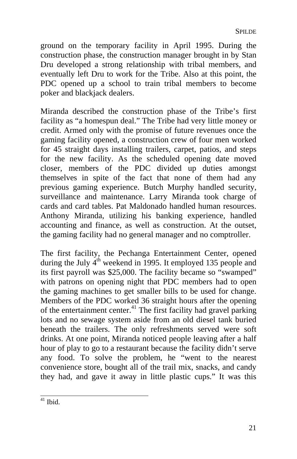ground on the temporary facility in April 1995. During the construction phase, the construction manager brought in by Stan Dru developed a strong relationship with tribal members, and eventually left Dru to work for the Tribe. Also at this point, the PDC opened up a school to train tribal members to become poker and blackjack dealers.

Miranda described the construction phase of the Tribe's first facility as "a homespun deal." The Tribe had very little money or credit. Armed only with the promise of future revenues once the gaming facility opened, a construction crew of four men worked for 45 straight days installing trailers, carpet, patios, and steps for the new facility. As the scheduled opening date moved closer, members of the PDC divided up duties amongst themselves in spite of the fact that none of t[hem](#page-24-0) had any previous gaming experience. Butch Murphy handled security, surveillance and maintenance. Larry Miranda took charge of cards and card tables. Pat Maldonado handled human resources. Anthony Miranda, utilizing his banking experience, handled accounting and finance, as well as construction. At the outset, the gaming facility had no general manager and no comptroller.

The first facility, the Pechanga Entertainment Center, opened during the July 4<sup>th</sup> weekend in 1995. It employed 135 people and its first payroll was \$25,000. The facility became so "swamped" with patrons on opening night that PDC members had to open the gaming machines to get smaller bills to be used for change. Members of the PDC worked 36 straight hours after the opening of the entertainment center.<sup>41</sup> The first facility had gravel parking lots and no sewage system aside from an old diesel tank buried beneath the trailers. The only refreshments served were soft drinks. At one point, Miranda noticed people leaving after a half hour of play to go to a restaurant because the facility didn't serve any food. To solve the problem, he "went to the nearest convenience store, bought all of the trail mix, snacks, and candy they had, and gave it away in little plastic cups." It was this

<span id="page-24-0"></span> $41$  Ibid.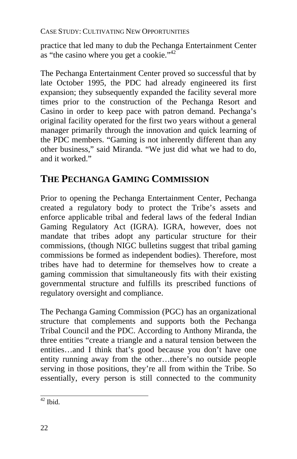practice that led many to dub the Pechanga Entertainment Center as "the casino where you get a cookie."<sup>42</sup>

The Pechanga Entertainment Center proved so successful that by late October 1995, the PDC had already engineered its first expansion; they subsequently expanded the facility several more times prior to the construction of the Pechanga Resort and Casino in order to keep pace with patron demand. Pechanga's original facility operated for the first two years without a general manager primarily through the innovation and quick learning of the PDC members. "Gaming is not inherently different than any other business," said Miranda. "We just did what we had to do, and it worked."

# **THE PECHANGA GAMING COMMISSION**

Prior to opening the Pechanga Entertainment Center, Pechanga created a regulatory body to protect the Tribe's assets and enforce applicable tribal and federal laws of the federal Indian Gaming Regulatory Act (IGRA). IGRA, however, does not mandate that tribes adopt any particular structure for their commissions, (though NIGC bulletins suggest that tribal gaming commissions be formed as independent bodies). Therefore, most tribes have had to determine for themselves how to create a gaming commission that simultaneously fits with their existing governmental structure and fulfills its prescribed functions of regulatory oversight and compliance.

The Pechanga Gaming Commission (PGC) has an organizational structure that complements and supports both the Pechanga Tribal Council and the PDC. According to Anthony Miranda, the three entities "create a triangle and a natural tension between the entities…and I think that's good because you don't have one entity running away from the other…there's no outside people serving in those positions, they're all from within the Tribe. So essentially, every person is still connected to the community

 $42$  Ibid.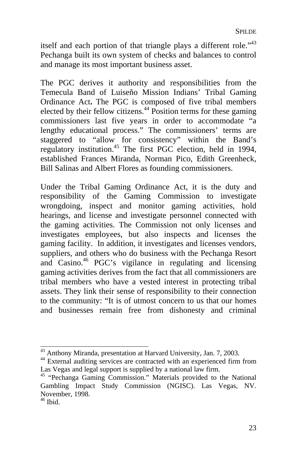itself and each portion of that triangle plays a different role."<sup>43</sup> Pechanga built its own system of checks and balances to control and manage its most important business asset.

The PGC derives it authority and responsibilities from the Temecula Band of Luiseño Mission Indians' Tribal Gaming Ordinance Act**.** The PGC is composed of five tribal members elected by their fellow citizens.<sup>44</sup> Position terms for these gaming commissioners last five years in order to accommodate "a lengthy educational process." The [co](#page-26-0)mmissioners' terms are staggered to "allow for consistency" within the Band's regulatory institution.45 The first PGC election, held in 1994, established Frances Miranda, Norman Pico, Edith Greenheck, Bill Salinas and Albert Flores as founding commissioners.

Under the Tribal Gaming Ordinance Act, it is the duty and responsibility of the Gaming Commission to investigate wrongdoing, inspect and monitor gaming activities, hold hearings, and license and investigate personnel connected with the gaming activities. The Commission not only licenses and investigates employees, but also inspects and licenses the gaming facility. In addition, it investigates and licenses vendors, suppliers, and others who do business with the Pechanga Resort and Casino.46 PGC's vigilance in regulating and licensing gaming activities derives from the fact that all commissioners are tribal members who have a vested interest in protecting tribal assets. They link their sense of responsibility to their connection to the community: "It is of utmost concern to us that our homes and businesses remain free from dishonesty and criminal

<sup>&</sup>lt;sup>43</sup> Anthony Miranda, presentation at Harvard University, Jan. 7, 2003.

<sup>&</sup>lt;sup>44</sup> External auditing services are contracted with an experienced firm from Las Vegas and legal support is supplied by a national law firm.

<sup>&</sup>lt;sup>45</sup> "Pechanga Gaming Commission." Materials provided to the National Gambling Impact Study Commission (NGISC). Las Vegas, NV. November, 1998.<br><sup>46</sup> Ibid.

<span id="page-26-0"></span>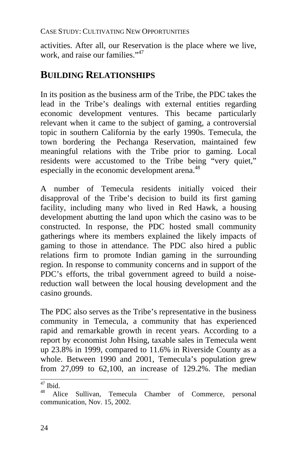activities. After all, our Reservation is the place where we live, work, and raise our families."<sup>47</sup>

### **BUILDING RELATIONSHIPS**

In its position as the business arm of the Tribe, the PDC takes the lead in the Tribe's dealings with external entities regarding economic development ventures. This became particularly relevant when it came to the subject of gaming, a controversial topic in southern California by the early 1990s. Temecula, the town bordering the Pechanga Reservation, maintained few meaningful relations with the Tribe prior to gaming. Local residents were accustomed to the Tribe being "very quiet," especially in the economic development arena.<sup>48</sup>

A number of Temecula residents initially voiced their disapproval of the Tribe's decision to build its first gaming facility, including many who lived in Red Hawk, a housing development abutting the land upon which the casino was to be constructed. In response, the PDC hosted small community gatherings where its members explained the likely impacts of gaming to those in attendance. The PDC also hired a public relations firm to promote Indian gaming in the surrounding region. In response to community concerns and in support of the PDC's efforts, the tribal government agreed to build a noisereduction wall between the local housing development and the casino grounds.

The PDC also serves as the Tribe's representative in the business community in Temecula, a community that has experienced rapid and remarkable growth in recent years. According to a report by economist John Hsing, taxable sales in Temecula went up 23.8% in 1999, compared to 11.6% in Riverside County as a whole. Between 1990 and 2001, Temecula's population grew from 27,099 to 62,100, an increase of 129.2%. The median

 $47$  Ibid.

Alice Sullivan, Temecula Chamber of Commerce, personal communication, Nov. 15, 2002.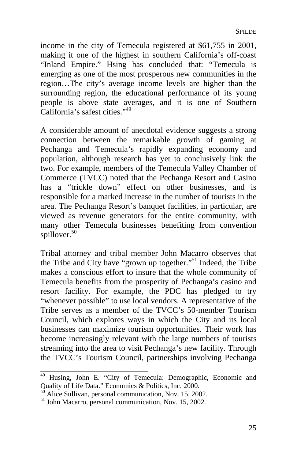income in the city of Temecula registered at \$61,755 in 2001, making it one of the highest in southern California's off-coast "Inland Empire." Hsing has concluded that: "Temecula is emerging as one of the most prosperous new communities in the region…The city's average income levels are higher than the surrounding region, the educational performance of its young people is above state average[s,](#page-28-0) and it is one of Southern California's safest cities."49

A considerable amount of anecdotal evidence suggests a strong connection between the remarkable growth of gaming at Pechanga and Temecula's rapidly expanding economy and population, although research has yet to conclusively link the two. For example, members of the Temecula Valley Chamber of Commerce (TVCC) noted that the Pechanga Resort and Casino has a "trickle down" effect on other businesses, and is responsible for a marked increase in the number of tourists in the area. The Pechanga Resort's banquet facilities, in particular, are viewed as revenue generators for the entire community, with many other Temecula businesses benefiting from convention spillover.<sup>50</sup>

Tribal attorney and tribal member John Macarro observes that the Tribe and City have "grown up together."<sup>51</sup> Indeed, the Tribe makes a conscious effort to insure that the whole community of Temecula benefits from the prosperity of Pechanga's casino and resort facility. For example, the PDC has pledged to try "whenever possible" to use local vendors. A representative of the Tribe serves as a member of the TVCC's 50-member Tourism Council, which explores ways in which the City and its local businesses can maximize tourism opportunities. Their work has become increasingly relevant with the large numbers of tourists streaming into the area to visit Pechanga's new facility. Through the TVCC's Tourism Council, partnerships involving Pechanga

<sup>&</sup>lt;sup>49</sup> Husing, John E. "City of Temecula: Demographic, Economic and Quality of Life Data." Economics & Politics, Inc. 2000.<br><sup>50</sup> Alice Sullivan, personal communication, Nov. 15, 2002.<br><sup>51</sup> John Macarro, personal communication, Nov. 15, 2002.

<span id="page-28-0"></span>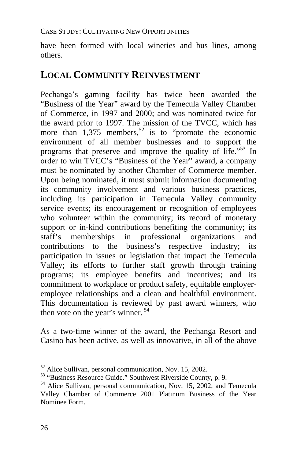have been formed with local wineries and bus lines, among others.

# **LOCAL COMMUNITY REINVESTMENT**

Pechanga's gaming facility has twice been awarded the "Business of the Year" award by the Temecula Valley Chamber of Commerce, in 1997 and 2000; and was nominated twice for the award prior to 1997. The mission of the TVCC, which has more than  $1,375$  members,<sup>52</sup> is to "promote the economic environment of all member businesses and to support the programs that preserve and improve the quality of life."53 In order to win TVCC's "Business of the Year" award, a company must be nominated by another Chamber of Commerce member. Upon being nominated, it must submit information do[cum](#page-29-0)enting its community involvement and various business practices, including its participation in Temecula Valley community service events; its encouragement or recognition of employees who volunteer within the community; its record of monetary support or in-kind contributions benefiting the community; its staff's memberships in professional organizations and contributions to the business's respective industry; its participation in issues or legislation that impact the Temecula Valley; its efforts to further staff growth through training programs; its employee benefits and incentives; and its commitment to workplace or product safety, equitable employeremployee relationships and a clean and healthful environment. This documentation is reviewed by past award winners, who then vote on the year's winner. 54

As a two-time winner of the award, the Pechanga Resort and Casino has been active, as well as innovative, in all of the above

<sup>&</sup>lt;sup>52</sup> Alice Sullivan, personal communication, Nov. 15, 2002.

<sup>&</sup>lt;sup>53</sup> "Business Resource Guide." Southwest Riverside County, p. 9.<br><sup>54</sup> Alice Sullivan, personal communication, Nov. 15, 2002; and Temecula

<span id="page-29-0"></span>Valley Chamber of Commerce 2001 Platinum Business of the Year Nominee Form.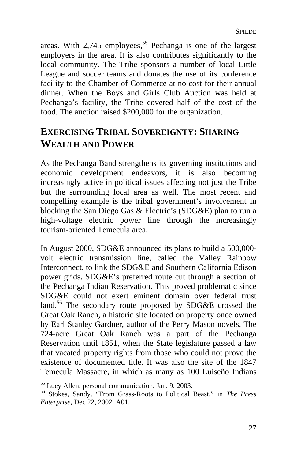areas. With 2,745 employees,<sup>55</sup> Pechanga is one of the largest employers in the area. It is also contributes significantly to the local community. The Tribe sponsors a number of local Little League and soccer teams and donates the use of its conference facility to the Chamber of Commerce at no cost for their annual dinner. When the Boys and Girls Club Auction was held at Pechanga's facility, the Tribe covered half of the cost of the food. The auction raised \$200,000 for the organization.

# **EXERCISING TRIBAL SOVEREIGNTY: SHARING WEALTH AND POWER**

As the Pechanga Band strengthens its governing institutions and economic development e[nde](#page-30-0)avors, it is also becoming increasingly active in political issues affecting not just the Tribe but the surrounding local area as well. The most recent and compelling example is the tribal government's involvement in blocking the San Diego Gas & Electric's (SDG&E) plan to run a high-voltage electric power line through the increasingly tourism-oriented Temecula area.

In August 2000, SDG&E announced its plans to build a 500,000 volt electric transmission line, called the Valley Rainbow Interconnect, to link the SDG&E and Southern California Edison power grids. SDG&E's preferred route cut through a section of the Pechanga Indian Reservation. This proved problematic since SDG&E could not exert eminent domain over federal trust land.<sup>56</sup> The secondary route proposed by SDG&E crossed the Great Oak Ranch, a historic site located on property once owned by Earl Stanley Gardner, author of the Perry Mason novels. The 724-acre Great Oak Ranch was a part of the Pechanga Reservation until 1851, when the State legislature passed a law that vacated property rights from those who could not prove the existence of documented title. It was also the site of the 1847 Temecula Massacre, in which as many as 100 Luiseño Indians<br>
<sup>55</sup> Lucy Allen, personal communication, Jan. 9, 2003.

<span id="page-30-0"></span><sup>&</sup>lt;sup>56</sup> Stokes, Sandy. "From Grass-Roots to Political Beast," in *The Press Enterprise*, Dec 22, 2002. A01.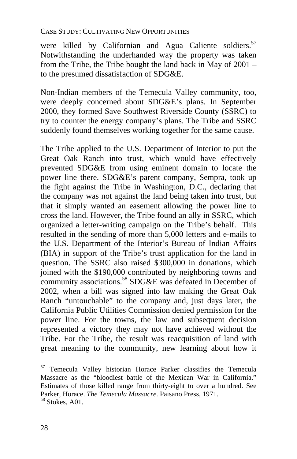were killed by Californian and Agua Caliente soldiers.<sup>57</sup> Notwithstanding the underhanded way the property was taken from the Tribe, the Tribe bought the land back in May of 2001 – to the presumed dissatisfaction of SDG&E.

Non-Indian members of the Temecula Valley community, too, were deeply concerned about SDG&E's plans. In September 2000, they formed Save Southwest Riverside County (SSRC) to try to counter the energy company's plans. The Tribe and SSRC suddenly found themselves working together for the same cause.

The Tribe applied to the U.S. Department of In[ter](#page-31-0)ior to put the Great Oak Ranch into trust, which would have effectively prevented SDG&E from using eminent domain to locate the power line there. SDG&E's parent company, Sempra, took up the fight against the Tribe in Washington, D.C., declaring that the company was not against the land being taken into trust, but that it simply wanted an easement allowing the power line to cross the land. However, the Tribe found an ally in SSRC, which organized a letter-writing campaign on the Tribe's behalf. This resulted in the sending of more than 5,000 letters and e-mails to the U.S. Department of the Interior's Bureau of Indian Affairs (BIA) in support of the Tribe's trust application for the land in question. The SSRC also raised \$300,000 in donations, which joined with the \$190,000 contributed by neighboring towns and community associations.<sup>58</sup> SDG&E was defeated in December of 2002, when a bill was signed into law making the Great Oak Ranch "untouchable" to the company and, just days later, the California Public Utilities Commission denied permission for the power line. For the towns, the law and subsequent decision represented a victory they may not have achieved without the Tribe. For the Tribe, the result was reacquisition of land with great meaning to the community, new learning about how it

 $57$  Temecula Valley historian Horace Parker classifies the Temecula Massacre as the "bloodiest battle of the Mexican War in California." Estimates of those killed range from thirty-eight to over a hundred. See Parker, Horace. *The Temecula Massacre*. Paisano Press, 1971. 58 Stokes, A01.

<span id="page-31-0"></span>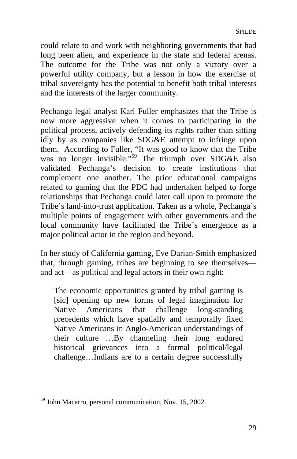could relate to and work with neighboring governments that had long been alien, and experience in the state and federal arenas. The outcome for the Tribe was not only a victory over a powerful utility company, but a lesson in how the exercise of tribal sovereignty has the potential to benefit both tribal interests and the interests of the larger community.

Pechanga legal analyst Karl Fuller emphasizes that the Tribe is now more aggressive when it comes to participating in the political process, actively defending its rights rather than sitting idly by as companies like SDG&E attempt to infringe upon them. According to Fuller, "It was good to know that the Tribe was no longer invisible."59 The triumph over SDG&E also validated Pechanga's decision to create institutions that complement one another. The prior educational campaigns related to gaming that the PDC had undertaken helped to forge relationships that Pechanga could later call upon to promote the Tribe's land-into-trust application. Taken as a whole, Pechanga's multiple points of engagement with other governments and the local community have facilitated the Tribe's emergence as a major political actor in the region and beyond.

In her study of California gaming, Eve Darian-Smith emphasized that, through gaming, tribes are beginning to see themselves and act—as political and legal actors in their own right:

The economic opportunities granted by tribal gaming is [sic] opening up new forms of legal imagination for<br>Native Americans that challenge long-standing Native Americans that challenge long-standing precedents which have spatially and temporally fixed Native Americans in Anglo-American understandings of their culture …By channeling their long endured historical grievances into a formal political/legal challenge…Indians are to a certain degree successfully

 $\frac{59}{59}$  John Macarro, personal communication, Nov. 15, 2002.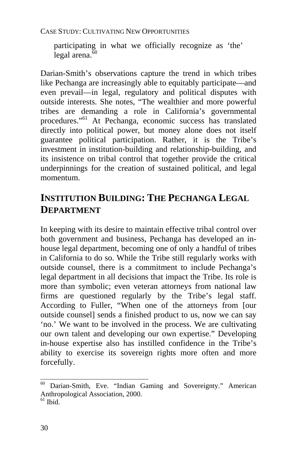participating in what we officially recognize as 'the' legal arena $\overline{60}$ 

Darian-Smith's observations capture the trend in which tribes like Pechanga are increasingly able to equitably participate—and even prevail—in legal, regulatory and political disputes with outside interests. She notes, "The wealthier and more powerful tribes are demanding a role in California's governmental procedures."61 At Pechanga, economic success has translated directly into political power, but money alone does not itself guarantee political participation. Rather, it is the Tribe's investment in institution-building and relationship-building, and its insistence on tribal control that together provide the critical underpinnings for the creation of sustained political, and legal momentum.

# **INSTITUTION BUILDING: THE PECHANGA LEGAL DEPARTMENT**

In keeping with its desire to maintain effective tribal control over both government and business, Pechanga has developed an inhouse legal department, becoming one of only a handful of tribes in California to do so. While the Tribe still regularly works with outside counsel, there is a commitment to include Pechanga's legal department in all decisions that impact the Tribe. Its role is more than symbolic; even veteran attorneys from national law firms are questioned regularly by the Tribe's legal staff. According to Fuller, "When one of the attorneys from [our outside counsel] sends a finished product to us, now we can say 'no.' We want to be involved in the process. We are cultivating our own talent and developing our own expertise." Developing in-house expertise also has instilled confidence in the Tribe's ability to exercise its sovereign rights more often and more forcefully.

 $\frac{60}{60}$  Darian-Smith, Eve. "Indian Gaming and Sovereignty." American Anthropological Association, 2000.<br><sup>61</sup> Ibid.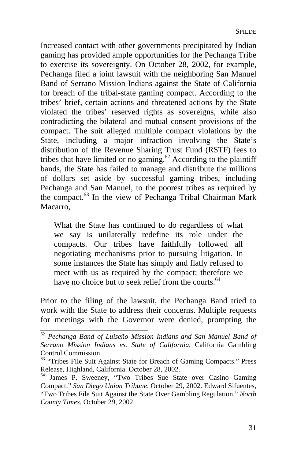Increased contact with other governments precipitated by Indian gaming has provided ample opportunities for the Pechanga Tribe to exercise its sovereignty. On Octo[be](#page-34-0)r 28, 2002, for example, Pechanga filed a joint lawsuit with the neighboring San Manuel Band of Serrano Mission Indians against the State of California for breach of the tribal-state gaming compact. According to the tribes' brief, certain actions and threatened actions by the State violated the tribes' reserved rights as sovereigns, while also contradicting the bilateral and mutual consent provisions of the compact. The suit alleged multiple compact violations by the State, including a major infraction involving the State's distribution of the Revenue Sharing Trust Fund (RSTF) fees to tribes that have limited or no gaming.<sup>62</sup> According to the plaintiff bands, the State has failed to manage and distribute the millions of dollars set aside by successful gaming tribes, including Pechanga and San Manuel, to the poorest tribes as required by the compact.<sup>63</sup> In the view of Pechanga Tribal Chairman Mark Macarro,

What the State has continued to do regardless of what we say is unilaterally redefine its role under the compacts. Our tribes have faithfully followed all negotiating mechanisms prior to pursuing litigation. In some instances the State has simply and flatly refused to meet with us as required by the compact; therefore we have no choice but to seek relief from the courts. $64$ 

Prior to the filing of the lawsuit, the Pechanga Band tried to work with the State to address their concerns. Multiple requests for meetings with the Governor were denied, prompting the

 <sup>62</sup> *Pechanga Band of Luiseño Mission Indians and San Manuel Band of Serrano Mission Indians vs. State of California*, California Gambling Control Commission.<br><sup>63</sup> "Tribes File Suit Against State for Breach of Gaming Compacts." Press

<span id="page-34-0"></span>Release, Highland, California. October 28, 2002.<br><sup>64</sup> James P. Sweeney, "Two Tribes Sue State over Casino Gaming

Compact." *San Diego Union Tribune*. October 29, 2002. Edward Sifuentes, "Two Tribes File Suit Against the State Over Gambling Regulation." *North County Times*. October 29, 2002.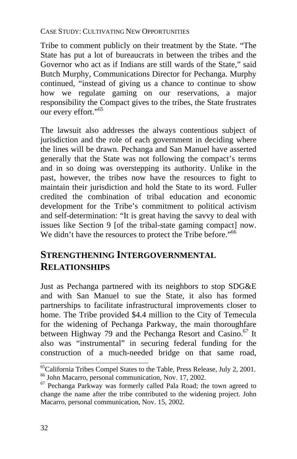Tribe to comment publicly on their treatment by the State. "The State has put a lot of bureaucrats in between the tribes and the Governor who act as if Indians are still wards of the State," said Butch Murphy, Communications Director for Pechanga. Murphy continued, "instead of giving us a chance to continue to show how we regulate gaming on our reservations, a major responsibility the Compact gives to the tribes, the State frustrates our every effort."<sup>65</sup>

The lawsuit also addresses the always contentious subject of jurisdiction and the role of each government in deciding where the lines will be drawn. Pechanga and San Manuel have asserted generally that the State was not following the compact's terms and in so doing was overstepping its authority. Unlike in the past, however, the tribes now have the resources to fight to maintain their jurisdiction and hold the State to its word. Fuller credited the combination of tribal education and economic development for the Tribe's commitment to political activism and self-determination: "It is great having the savvy to deal with issues like Section 9 [of the tribal-state gaming compact] now. We didn't have the resources to protect the Tribe before."<sup>66</sup>

# **STRENGTHENING INTERGOVERNMENTAL RELATIONSHIPS**

Just as Pechanga partnered with its neighbors to stop SDG&E and with San Manuel to sue the State, it also has formed partnerships to facilitate infrastructural improvements closer to home. The Tribe provided \$4.4 million to the City of Temecula for the widening of Pechanga Parkway, the main thoroughfare between Highway 79 and the Pechanga Resort and Casino.<sup>67</sup> It also was "instrumental" in securing federal funding for the construction of a much-needed bridge on that same road,

<sup>&</sup>lt;sup>65</sup>California Tribes Compel States to the Table, Press Release, July 2, 2001. <sup>66</sup> John Macarro, personal communication, Nov. 17, 2002.<br><sup>67</sup> Pechanga Parkway was formerly called Pala Road; the town agreed to

change the name after the tribe contributed to the widening project. John Macarro, personal communication, Nov. 15, 2002.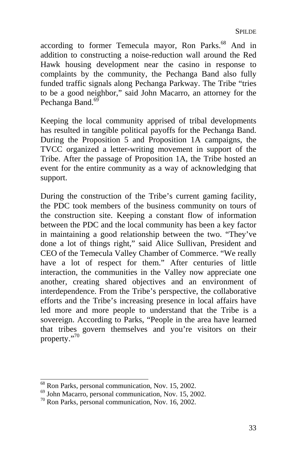according to former Temecula mayor, Ron Parks.<sup>68</sup> And in addition to constructing a noise-reduction wall around the Red Hawk housing development near the casino in response to complaints by the community, the Pechanga Band also fully funded traffic signals along Pechanga Parkway. The Tribe "tries to be a good neighbor," said John Macarro, an attorney for the Pechanga Band.<sup>69</sup>

Keeping the local community apprised of tribal developments has resulted in tangible political payoffs for the Pechanga Band. During the Proposition 5 and Proposition 1A campaigns, the TVCC organized a letter-writing movement in support of the Tribe. After the passage of Proposition 1A, the Tribe hosted an event for the entire community as a way of acknowledging that support.

During the construction of the Tribe's current gaming facility, the PDC took members of the bu[sin](#page-36-0)ess community on tours of the construction site. Keeping a constant flow of information between the PDC and the local community has been a key factor in maintaining a good relationship between the two. "They've done a lot of things right," said Alice Sullivan, President and CEO of the Temecula Valley Chamber of Commerce. "We really have a lot of respect for them." After centuries of little interaction, the communities in the Valley now appreciate one another, creating shared objectives and an environment of interdependence. From the Tribe's perspective, the collaborative efforts and the Tribe's increasing presence in local affairs have led more and more people to understand that the Tribe is a sovereign. According to Parks, "People in the area have learned that tribes govern themselves and you're visitors on their property." 70

<sup>&</sup>lt;sup>68</sup> Ron Parks, personal communication, Nov. 15, 2002.

<sup>&</sup>lt;sup>69</sup> John Macarro, personal communication, Nov. 15, 2002.<br><sup>70</sup> Ron Parks, personal communication, Nov. 16, 2002.

<span id="page-36-0"></span>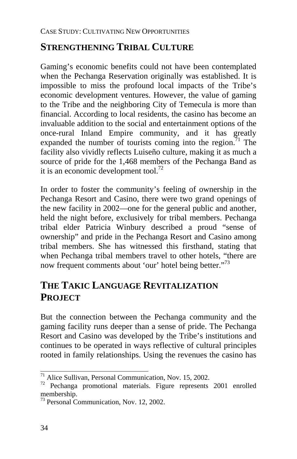# **STRENGTHENING TRIBAL CULTURE**

Gaming's economic benefits could not have been contemplated when the Pechanga Reservation originally was established. It is impossible to miss the profound local impacts of the Tribe's economic development ventures. However, the value of gaming to the Tribe and the neighboring City of Temecula is more than financial. According to local residents, the casino has become an invaluable addition to the social and entertainment options of the once-rural Inland Empire community, and it has greatly expanded the number of tourists coming into the region.<sup>71</sup> The facility also vividly reflects Luiseño culture, making it as much a source of pride for the 1,468 members of the Pechanga Band as it is an economic development tool.<sup>72</sup>

In order to foster the community's feeling of ownership in the Pechanga Resort and Casino, there were two grand openings of the new facility in 2002—one for the general public and another, held the night before, exclusively for tribal members. Pechanga tribal elder Patricia Winbury described a proud "sense of ownership" and pride in the Pechanga Resort and Casino among tribal members. She has witnessed this firsthand, stating that when Pechanga tribal members travel to other hotels, "there are now frequent comments about 'our' hotel being better."<sup>73</sup>

# **THE TAKIC LANGUAGE REVITALIZATION PROJECT**

But the connection between the Pechanga community and the gaming facility runs deeper than a sense of pride. The Pechanga Resort and Casino was developed by the Tribe's institutions and continues to be operated in ways reflective of cultural principles rooted in family relationships. Using the revenues the casino has

 $71$  Alice Sullivan, Personal Communication, Nov. 15, 2002.

 $72$  Pechanga promotional materials. Figure represents 2001 enrolled membership.<br> $73$  Personal Communication, Nov. 12, 2002.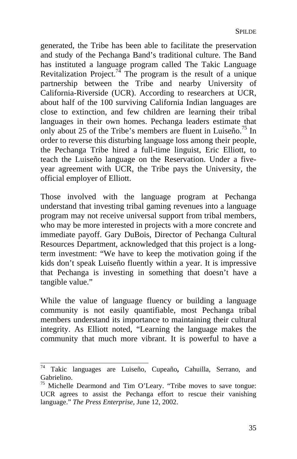generated, the Tribe has been able to facilitate the preservation and study of the Pechanga Band's traditional culture. The Band has instituted a language program called The Takic Language Revitalization Project.<sup>74</sup> The program is the result of a unique partnership between the Tribe and nearby University of California-Riverside (UCR). According to researchers at UCR, about half of the 100 surviving California Indian languages are close to extinction, and few children are learning their tribal languages in their own homes. Pechanga leaders estimate that only about 25 of the Tribe's members are fluent in Luiseño.<sup>75</sup> In order to reverse this disturbing language loss among their people, the Pechanga Tribe hired a full-time linguist, Eric Elliott, to teach the Luiseño language on the Reservation. Under a fiveyear agreement with UCR, the Tribe pays the University, the official employer of Elliott.

Those involved with the language program at Pechanga understand that investing tribal gaming revenues into a language program may not receive universal support from tribal members, who may be more interested in projects with a more concrete and immediate payoff. Gary DuBois, Director of Pechanga Cultural Resources Department, acknowledged that this project is a longterm investment: "We have to keep the motivation going if the kids don't speak Luiseño fluently within a year. It is impressive that Pechanga is investing in something that doesn't have a tangible value."

While the value of language fluency or building a language community is not easily quantifiable, most Pechanga tribal members understand its importance to maintaining their cultural integrity. As Elliott noted, "Learning the language makes the community that much more vibrant. It is powerful to have a

 74 Takic languages are Luiseño, Cupeaño**,** Cahuilla, Serrano, and Gabrielino.

 $75$  Michelle Dearmond and Tim O'Leary. "Tribe moves to save tongue: UCR agrees to assist the Pechanga effort to rescue their vanishing language." *The Press Enterprise,* June 12, 2002.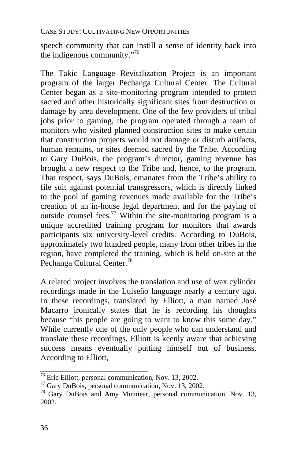speech community that can instill a sense of identity back into the indigenous community." 76

The Takic Language Revitalization Project is an important program of the larger Pechanga Cultural C[ent](#page-39-0)er. The Cultural Center began as a site-monitoring program intended to protect sacred and other historically significant sites from destruction or damage by area development. One of the few providers of tribal jobs prior to gaming, the program operated through a team of monitors who visited planned construction sites t[o m](#page-39-1)ake certain that construction projects would not damage or disturb artifacts, human remains, or sites deemed sacred by the Tribe. According to Gary DuBois, the program's director, gaming revenue has brought a new respect to the Tribe and, hence, to the program. That respect, says DuBois, emanates from the Tribe's ability to file suit against potential transgressors, which is directly linked to the pool of gaming revenues made available for the Tribe's creation of an in-house legal department and for the paying of outside counsel fees.<sup>77</sup> Within the site-monitoring program is a unique accredited training program for monitors that awards participants six university-level credits. According to DuBois, approximately two hundred people, many from other tribes in the region, have completed the training, which is held on-site at the Pechanga Cultural Center.<sup>78</sup>

A related project involves the translation and use of wax cylinder recordings made in the Luiseño language nearly a century ago. In these recordings, translated by Elliott, a man named José Macarro ironically states that he is recording his thoughts because "his people are going to want to know this some day." While currently one of the only people who can understand and translate these recordings, Elliott is keenly aware that achieving success means eventually putting himself out of business. According to Elliott,

<sup>&</sup>lt;sup>76</sup> Eric Elliott, personal communication, Nov. 13, 2002.

<span id="page-39-1"></span><span id="page-39-0"></span>

 $\frac{77}{71}$  Gary DuBois, personal communication, Nov. 13, 2002.<br><sup>78</sup> Gary DuBois and Amy Minniear, personal communication, Nov. 13, 2002.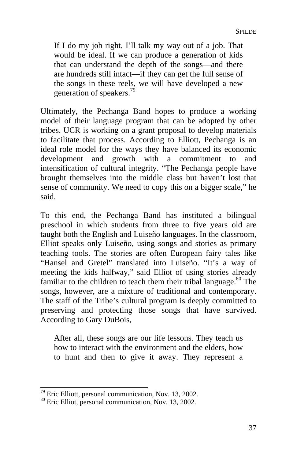If I do my job right, I'll talk my way out of a job. That would be ideal. If we can produce a generation of kids that can understand the depth of the songs—and there are hundreds still intact—if they can get the full sense of the songs in these reels, we will have developed a new generation of speakers.<sup>79</sup>

Ultimately, the Pechanga Band hopes to produce a working model of their language program that can be adopted by other tribes. UCR is working on a grant proposal to develop materials to facilitate that process. According to Elliott, Pechanga is an ideal role model for the ways they have balanced its economic development and growth with a commitment to and intensification of cultural integrity. "The Pechanga people have brought themselves into the middle class but haven't lost that sense of community. We need to copy this on a bigger scale," he said.

To this end, the Pechanga Band has instituted a bilingual preschool in which students from three to five years old are taught both the English and Luiseño languages. In the classroom, Elliot speaks only Luiseño, using songs and stories as primary teaching tools. The stories are often European fairy tales like "Hansel and Gretel" translated into Luiseño. "It's a way of meeting the kids halfway," said Elliot of using stories already familiar to the children to teach them their tribal language.<sup>80</sup> The songs, however, are a mixture of traditional and contemporary. The staff of the Tribe's cultural program is deeply committed to preserving and protecting those songs that have survived. According to Gary DuBois,

After all, these songs are our life lessons. They teach us how to interact with the environment and the elders, how to hunt and then to give it away. They represent a

 $79$  Eric Elliott, personal communication, Nov. 13, 2002.

<sup>&</sup>lt;sup>80</sup> Eric Elliot, personal communication, Nov. 13, 2002.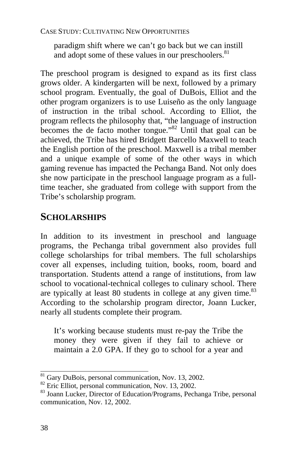paradigm shift where we can't go back but we can instill and adopt some of these values in our preschoolers. $81$ 

The preschool program is designed to expand as its first class grows older. A kindergarten will be next, followed by a primary school program. Eventually, the goal of DuBois, Elliot and the other program organizers is to use Luiseño as the only language of instruction in the tribal school. According to Elliot, the program reflects the philosophy that, "the language of instruction becomes the de facto mother tongue."<sup>82</sup> Until that goal can be achieved, the Tribe has hired Bridgett Barcello Maxwell to teach the English portion of the preschool. Maxwell is a tribal member and a unique example of some of the other ways in which gaming revenue has impacted the Pechanga Band. Not only does she now participate in the preschool language program as a fulltime teacher, she graduated from college with support from the Tribe's scholarship program.

### **SCHOLARSHIPS**

In addition to its investment in preschool and language programs, the Pechanga tribal government also provides full college scholarships for tribal members. The full scholarships cover all expenses, including tuition, books, room, board and transportation. Students attend a range of institutions, from law school to vocational-technical colleges to culinary school. There are typically at least 80 students in college at any given time.<sup>83</sup> According to the scholarship program director, Joann Lucker, nearly all students complete their program.

It's working because students must re-pay the Tribe the money they were given if they fail to achieve or maintain a 2.0 GPA. If they go to school for a year and

<sup>&</sup>lt;sup>81</sup> Gary DuBois, personal communication, Nov. 13, 2002.

<sup>&</sup>lt;sup>82</sup> Eric Elliot, personal communication, Nov. 13, 2002.<br><sup>83</sup> Joann Lucker, Director of Education/Programs, Pechanga Tribe, personal communication, Nov. 12, 2002.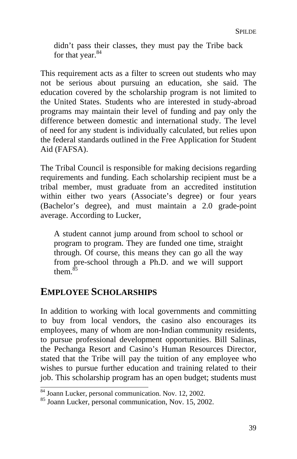didn't pass their classes, they must pay the Tribe back for that year.<sup>84</sup>

This requirement acts as a filter to screen out students who may not be serious about pursuing an education, she said. The education covered by the scholarship program is not limited to the United States. Students who are interested in study-abroad programs may maintain their level of funding and pay only the difference between domestic and international study. The level of need for any student is individually calculated, but relies upon the federal standards outlined in t[he](#page-42-0) Free Application for Student Aid (FAFSA).

The Tribal Council is responsible for making decisions regarding requirements and funding. Each scholarship recipient must be a tribal member, must graduate from an accredited institution within either two years (Associate's degree) or four years (Bachelor's degree), and must maintain a 2.0 grade-point average. According to Lucker,

A student cannot jump around from school to school or program to program. They are funded one time, straight through. Of course, this means they can go all the way from pre-school through a Ph.D. and we will support them.<sup>85</sup>

### **EMPLOYEE SCHOLARSHIPS**

In addition to working with local governments and committing to buy from local vendors, the casino also encourages its employees, many of whom are non-Indian community residents, to pursue professional development opportunities. Bill Salinas, the Pechanga Resort and Casino's Human Resources Director, stated that the Tribe will pay the tuition of any employee who wishes to pursue further education and training related to their job. This scholarship program has an open budget; students must

<span id="page-42-0"></span>

 $84$  Joann Lucker, personal communication. Nov. 12, 2002.<br> $85$  Joann Lucker, personal communication, Nov. 15, 2002.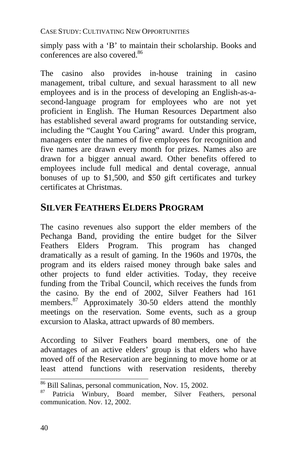simply pass with a 'B' to maintain their scholarship. Books and conferences are also covered.<sup>86</sup>

The casino also provides in-house training in casino management, tribal culture, and sexual harassment to all new employees and is in the process of developing an English-as-asecond-language program for employees who are not yet proficient in English. The Human Resources Department also has established several award programs for outstanding service, including the "Caught You Caring" award. Under this program, managers enter the names of five employees for recognition and five names are drawn every month for prizes. Names also are drawn for a bigger annual award. Other benefits offered to employees include full medical [an](#page-43-0)d dental coverage, annual bonuses of up to \$1,500, and \$50 gift certificates and turkey certificates at Christmas.

### **SILVER FEATHERS ELDERS PROGRAM**

The casino revenues also support the elder members of the Pechanga Band, providing the entire budget for the Silver Feathers Elders Program. This program has changed dramatically as a result of gaming. In the 1960s and 1970s, the program and its elders raised money through bake sales and other projects to fund elder activities. Today, they receive funding from the Tribal Council, which receives the funds from the casino. By the end of 2002, Silver Feathers had 161 members.<sup>87</sup> Approximately 30-50 elders attend the monthly meetings on the reservation. Some events, such as a group excursion to Alaska, attract upwards of 80 members.

According to Silver Feathers board members, one of the advantages of an active elders' group is that elders who have moved off of the Reservation are beginning to move home or at least attend functions with reservation residents, thereby

<sup>&</sup>lt;sup>86</sup> Bill Salinas, personal communication, Nov. 15, 2002.

<span id="page-43-0"></span><sup>&</sup>lt;sup>86</sup> Bill Salinas, personal communication, Nov. 15, 2002.<br><sup>87</sup> Patricia Winbury, Board member, Silver Feathers, personal communication. Nov. 12, 2002.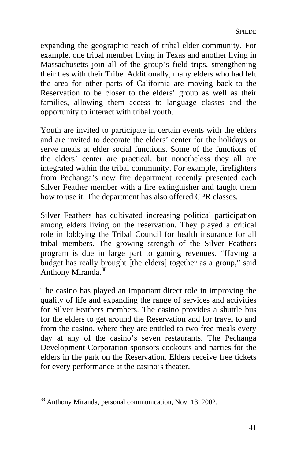expanding the geographic reach of tribal elder community. For example, one tribal member living in Texas and another living in Massachusetts join all of the group's field trips, strengthening their ties with their Tribe. Additionally, many elders who had left the area for other parts of California are moving back to the Reservation to be closer to the elders' group as well as their families, allowing them access to language classes and the opportunity to interact with tribal youth.

Youth are invited to participate in certain events with the elders and are invited to decorate the elders' ce[nter](#page-44-0) for the holidays or serve meals at elder social functions. Some of the functions of the elders' center are practical, but nonetheless they all are integrated within the tribal community. For example, firefighters from Pechanga's new fire department recently presented each Silver Feather member with a fire extinguisher and taught them how to use it. The department has also offered CPR classes.

Silver Feathers has cultivated increasing political participation among elders living on the reservation. They played a critical role in lobbying the Tribal Council for health insurance for all tribal members. The growing strength of the Silver Feathers program is due in large part to gaming revenues. "Having a budget has really brought [the elders] together as a group," said Anthony Miranda.<sup>88</sup>

The casino has played an important direct role in improving the quality of life and expanding the range of services and activities for Silver Feathers members. The casino provides a shuttle bus for the elders to get around the Reservation and for travel to and from the casino, where they are entitled to two free meals every day at any of the casino's seven restaurants. The Pechanga Development Corporation sponsors cookouts and parties for the elders in the park on the Reservation. Elders receive free tickets for every performance at the casino's theater.

<span id="page-44-0"></span><sup>88&</sup>lt;br>Anthony Miranda, personal communication, Nov. 13, 2002.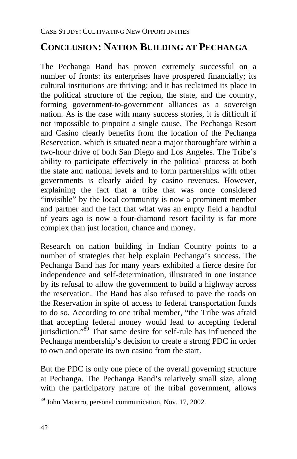# **CONCLUSION: NATION BUILDING AT PECHANGA**

The Pechanga Band has proven extremely successful on a number of fronts: its enterprises have prospered financially; its cultural institutions are thriving; and it has reclaimed its place in the political structure of the region, the state, and the country, forming government-to-government alliances as a sovereign nation. As is the case with many success stories, it is difficult if not impossible to pinpoint a single cause. The Pechanga Resort and Casino clearly benefits from the location of the Pechanga Reservation, which is situated near a major thoroughfare within a two-hour drive of both San Diego and Los Angeles. The Tribe's ability to participate effectively in the political process at both the state and national levels and to form partnerships with other governments is clearly aided by casino revenues. However, explaining the fact that a tribe that was once considered "invisible" by the local community i[s n](#page-45-0)ow a prominent member and partner and the fact that what was an empty field a handful of years ago is now a four-diamond resort facility is far more complex than just location, chance and money.

Research on nation building in Indian Country points to a number of strategies that help explain Pechanga's success. The Pechanga Band has for many years exhibited a fierce desire for independence and self-determination, illustrated in one instance by its refusal to allow the government to build a highway across the reservation. The Band has also refused to pave the roads on the Reservation in spite of access to federal transportation funds to do so. According to one tribal member, "the Tribe was afraid that accepting federal money would lead to accepting federal jurisdiction."<sup>89</sup> That same desire for self-rule has influenced the Pechanga membership's decision to create a strong PDC in order to own and operate its own casino from the start.

But the PDC is only one piece of the overall governing structure at Pechanga. The Pechanga Band's relatively small size, along with the participatory nature of the tribal government, allows

<span id="page-45-0"></span> $\frac{89}{89}$  John Macarro, personal communication, Nov. 17, 2002.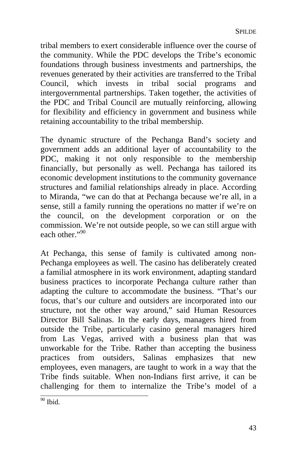tribal members to exert considerable influence over the course of the community. While the PDC develops the Tribe's economic foundations through business investments and partnerships, the revenues generated by their activities are transferred to the Tribal Council, which invests in tribal social programs and intergovernmental partnerships. Taken together, the activities of the PDC and Tribal Council are m[utu](#page-46-0)ally reinforcing, allowing for flexibility and efficiency in government and business while retaining accountability to the tribal membership.

The dynamic structure of the Pechanga Band's society and government adds an additional layer of accountability to the PDC, making it not only responsible to the membership financially, but personally as well. Pechanga has tailored its economic development institutions to the community governance structures and familial relationships already in place. According to Miranda, "we can do that at Pechanga because we're all, in a sense, still a family running the operations no matter if we're on the council, on the development corporation or on the commission. We're not outside people, so we can still argue with each other $\cdot$ <sup>90</sup>

At Pechanga, this sense of family is cultivated among non-Pechanga employees as well. The casino has deliberately created a familial atmosphere in its work environment, adapting standard business practices to incorporate Pechanga culture rather than adapting the culture to accommodate the business. "That's our focus, that's our culture and outsiders are incorporated into our structure, not the other way around," said Human Resources Director Bill Salinas. In the early days, managers hired from outside the Tribe, particularly casino general managers hired from Las Vegas, arrived with a business plan that was unworkable for the Tribe. Rather than accepting the business practices from outsiders, Salinas emphasizes that new employees, even managers, are taught to work in a way that the Tribe finds suitable. When non-Indians first arrive, it can be challenging for them to internalize the Tribe's model of a

<span id="page-46-0"></span> $\overline{^{90}}$  Ibid.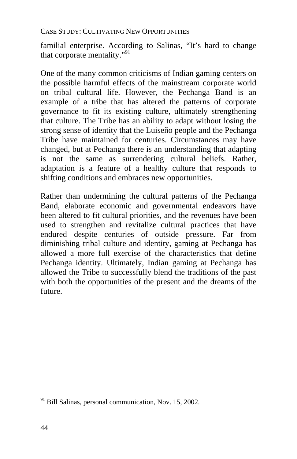familial enterprise. According to Salinas, "It's hard to change that corporate mentality."91

One of the many common criticisms of Indian gaming centers on the possible harmful effects of the mainstream corporate world on tribal cultural life. However, the Pechanga Band is an example of a tribe that has altered the patterns of corporate governance to fit its existing culture, ultimately strengthening that culture. The Tribe has an ability to adapt without losing the strong sense of identity that the Luiseño people and the Pechanga Tribe have maintained for centuries. Circumstances may have changed, but at Pechanga there is an understanding that adapting is not the same as surrendering cultural beliefs. Rather, adaptation is a feature of a healthy culture that responds to shifting conditions and embraces new opportunities.

Rather than undermining the cultural patterns of the Pechanga Band, elaborate economic and governmental endeavors have been altered to fit cultural priorities, and the revenues have been used to strengthen and revitalize cultural practices that have endured despite centuries of outside pressure. Far from diminishing tribal culture and identity, gaming at Pechanga has allowed a more full exercise of the characteristics that define Pechanga identity. Ultimately, Indian gaming at Pechanga has allowed the Tribe to successfully blend the traditions of the past with both the opportunities of the present and the dreams of the future.

 $\frac{91}{12}$  Bill Salinas, personal communication, Nov. 15, 2002.